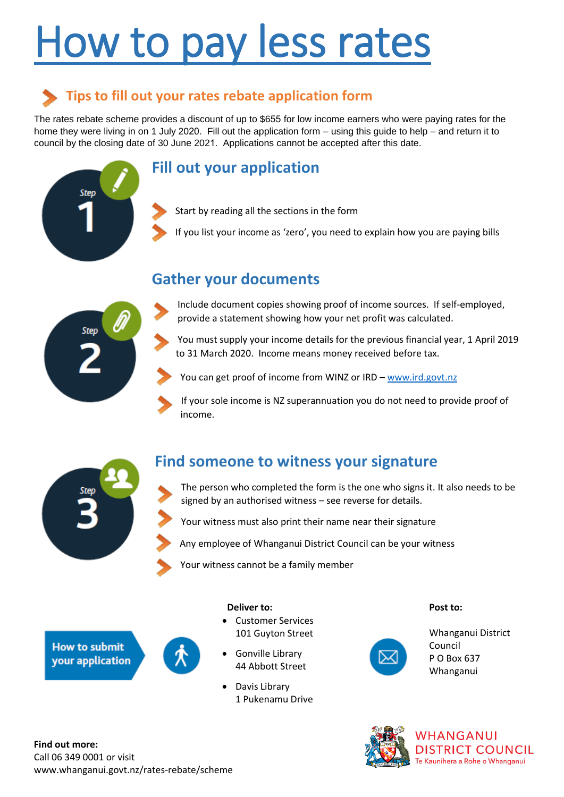# How to pay less ra

## **Tips to fill out your rates rebate application form**

The rates rebate scheme provides a discount of up to \$ for low income earners who were paying rates for the home they were living in on 1 July 20. Fill out the application form  $\pm$ using this guide to help  $\pm$ and return it to council by the closing date of 30 June 202. Applications cannot be accepted after this date.

## **Fill out your application**





## **Gather your documents**

| BΗ                                                                                                                                                                                                                                                                                                                                                                                                                                                                                                                                    | <b>EXHERITS</b> | D <b>DUPIE</b>  | ₩                                | R           | В<br>Ø | Ø | BREAD<br>Ы | <b>DV</b>   | <b>FDEXORY</b> |                |   |
|---------------------------------------------------------------------------------------------------------------------------------------------------------------------------------------------------------------------------------------------------------------------------------------------------------------------------------------------------------------------------------------------------------------------------------------------------------------------------------------------------------------------------------------|-----------------|-----------------|----------------------------------|-------------|--------|---|------------|-------------|----------------|----------------|---|
| К<br>R٧                                                                                                                                                                                                                                                                                                                                                                                                                                                                                                                               | PW              | Ø<br><b>DEK</b> | <b>NERBELL</b><br><b>ERPIERR</b> |             |        |   |            | <b>EKAB</b> | <b>DED</b> O   | <b>BI</b><br>M | Đ |
| К                                                                                                                                                                                                                                                                                                                                                                                                                                                                                                                                     | <b>FDQW</b>     | B               | ERH                              | B∶B         |        |   |            | <b>BD</b>   |                |                |   |
| K<br>$B\!\!\!\!\times\!\!\!\!\times\!\!\!\!\times\!\!\!\!\times\!\!\!\!\times\!\!\!\!\times\!\!\!\!\times\!\!\!\!\times\!\!\!\!\times\!\!\!\!\times\!\!\!\!\times\!\!\!\!\times\!\!\!\!\times\!\!\!\!\times\!\!\!\!\times\!\!\!\!\times\!\!\!\!\times\!\!\!\!\times\!\!\!\!\times\!\!\!\!\times\!\!\!\!\times\!\!\!\!\times\!\!\!\!\times\!\!\!\!\times\!\!\!\!\times\!\!\!\!\times\!\!\!\!\times\!\!\!\!\times\!\!\!\!\times\!\!\!\!\times\!\!\!\!\times\!\!\!\!\times\!\!\!\!\times\!\!\!\!\times\!\!\!\!\times\!\!\!\!\times\!\!\$ | H               | <b>EB開</b>      |                                  | <b>N</b> ØR |        |   | <b>KR</b>  | ₩           | θ              | <b>KN BH</b>   |   |

## **Contacts to obtain proof of income**

#### **Ministry of Social Development**

New Zealand Superannuation enquiries: Freephone 0800 552 002 Email seniors@msd.govt.nz

#### **Inland Revenue**

Income Tax enquiries Freephone 0800 775 247 Website www.ird.govt.nz

#### **Work and Income**

People under 65 enquiries: Freephone 0800 559 009

### **Working for families**

Tax Credit enquiries: Freephone 0800 227 773